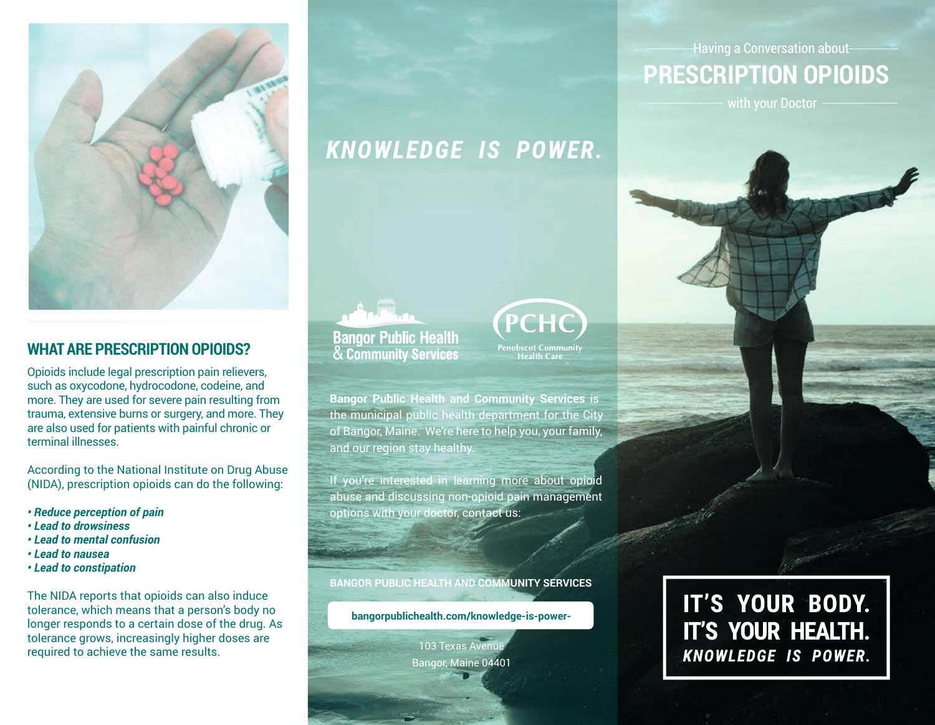

### **WHAT ARE PRESCRIPTION OPIOIDS?**

Opioids include legal prescription pain relievers, such as oxycodone, hydrocodone, codeine, and more. They are used for severe pain resulting from trauma, extensive burns or surgery, and more. They are also used for patients with painful chronic or terminal illnesses.

According to the National Institute on Drug Abuse (NIDA), prescription opioids can do the following:

- *Reduce perception of pain*
- *Lead to drowsiness*
- *Lead to mental confusion*
- *Lead to nausea*
- *Lead to constipation*

The NIDA reports that opioids can also induce tolerance, which means that a person's body no longer responds to a certain dose of the drug. As tolerance grows, increasingly higher doses are required to achieve the same results.

# KNOWLEDGE IS POWER.





**Bangor Public Health and Community Services** is the municipal public health department for the City of Bangor, Maine. We're here to help you, your family, and our region stay healthy.

If you're interested in learning more about opioid abuse and discussing non-opioid pain management options with your doctor, contact us:

**BANGOR PUBLIC HEALTH AND COMMUNITY SERVICES**

**bangorpublichealth.com/knowledge-is-power-**

103 Texas Avenue Bangor, Maine 04401

Having a Conversation about

**PRESCRIPTION OPIOIDS**

# IT'S YOUR BODY. IT'S YOUR HEALTH. **KNOWLEDGE IS POWER.**